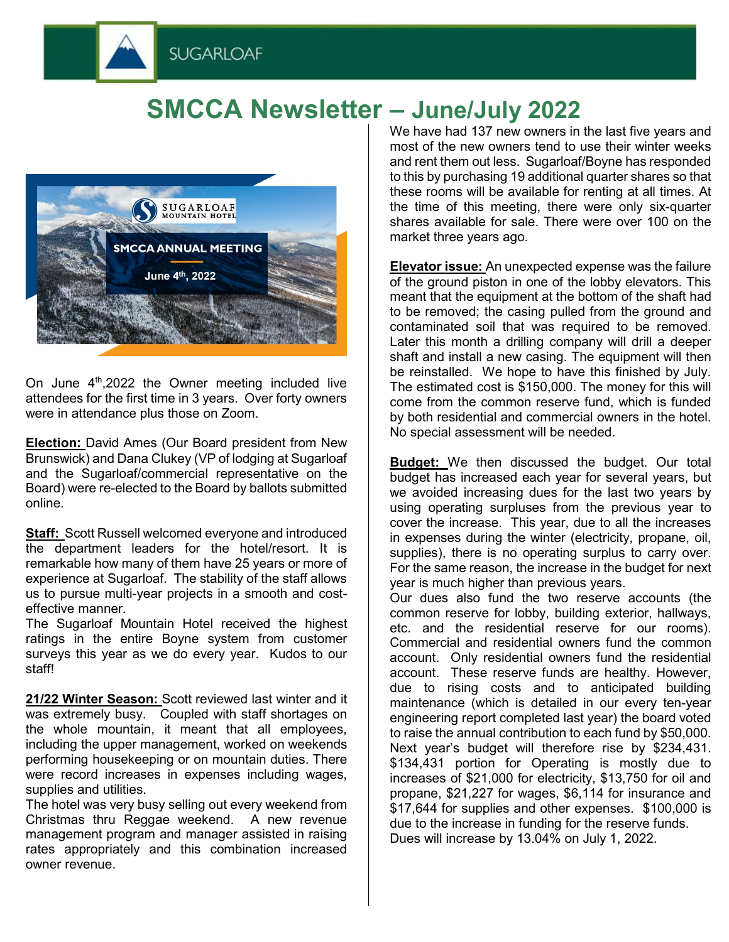



**SUGARLOAF** 

On June  $4<sup>th</sup>$ , 2022 the Owner meeting included live attendees for the first time in 3 years. Over forty owners were in attendance plus those on Zoom.

**Election:** David Ames (Our Board president from New Brunswick) and Dana Clukey (VP of lodging at Sugarloaf and the Sugarloaf/commercial representative on the Board) were re-elected to the Board by ballots submitted online.

**Staff:** Scott Russell welcomed everyone and introduced the department leaders for the hotel/resort. It is remarkable how many of them have 25 years or more of experience at Sugarloaf. The stability of the staff allows us to pursue multi-year projects in a smooth and costeffective manner.

The Sugarloaf Mountain Hotel received the highest ratings in the entire Boyne system from customer surveys this year as we do every year. Kudos to our staff!

**21/22 Winter Season:** Scott reviewed last winter and it was extremely busy. Coupled with staff shortages on the whole mountain, it meant that all employees, including the upper management, worked on weekends performing housekeeping or on mountain duties. There were record increases in expenses including wages, supplies and utilities.

The hotel was very busy selling out every weekend from Christmas thru Reggae weekend. A new revenue management program and manager assisted in raising rates appropriately and this combination increased owner revenue.

We have had 137 new owners in the last five years and most of the new owners tend to use their winter weeks and rent them out less. Sugarloaf/Boyne has responded to this by purchasing 19 additional quarter shares so that these rooms will be available for renting at all times. At the time of this meeting, there were only six-quarter shares available for sale. There were over 100 on the market three years ago.

**Elevator issue:** An unexpected expense was the failure of the ground piston in one of the lobby elevators. This meant that the equipment at the bottom of the shaft had to be removed; the casing pulled from the ground and contaminated soil that was required to be removed. Later this month a drilling company will drill a deeper shaft and install a new casing. The equipment will then be reinstalled. We hope to have this finished by July. The estimated cost is \$150,000. The money for this will come from the common reserve fund, which is funded by both residential and commercial owners in the hotel. No special assessment will be needed.

**Budget:** We then discussed the budget. Our total budget has increased each year for several years, but we avoided increasing dues for the last two years by using operating surpluses from the previous year to cover the increase. This year, due to all the increases in expenses during the winter (electricity, propane, oil, supplies), there is no operating surplus to carry over. For the same reason, the increase in the budget for next year is much higher than previous years.

Our dues also fund the two reserve accounts (the common reserve for lobby, building exterior, hallways, etc. and the residential reserve for our rooms). Commercial and residential owners fund the common account. Only residential owners fund the residential account. These reserve funds are healthy. However, due to rising costs and to anticipated building maintenance (which is detailed in our every ten-year engineering report completed last year) the board voted to raise the annual contribution to each fund by \$50,000. Next year's budget will therefore rise by \$234,431. \$134,431 portion for Operating is mostly due to increases of \$21,000 for electricity, \$13,750 for oil and propane, \$21,227 for wages, \$6,114 for insurance and \$17,644 for supplies and other expenses. \$100,000 is due to the increase in funding for the reserve funds. Dues will increase by 13.04% on July 1, 2022.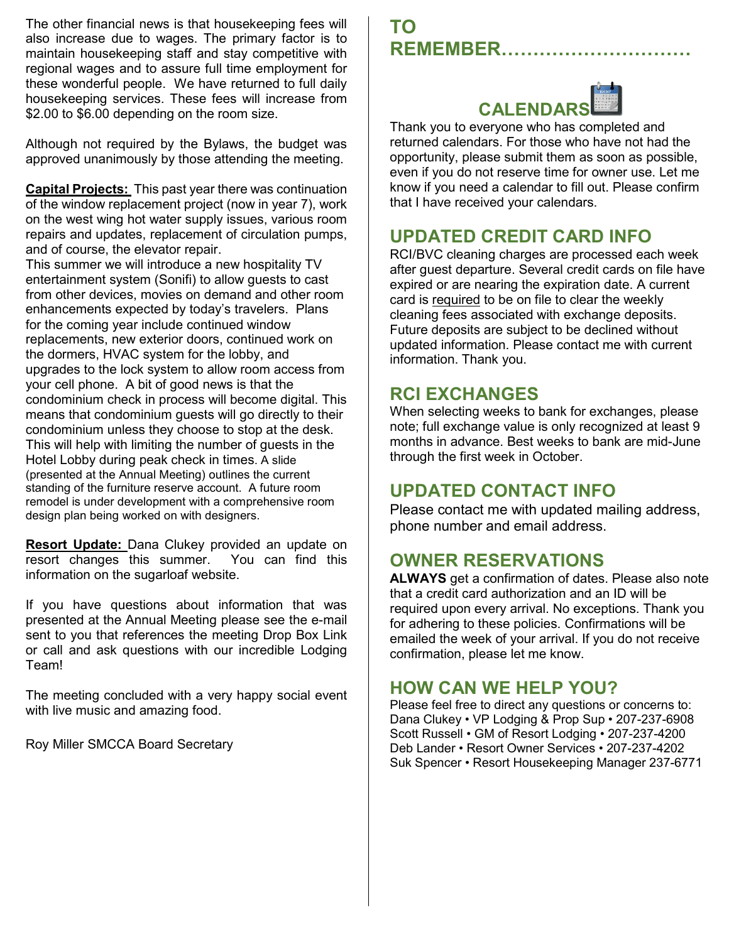The other financial news is that housekeeping fees will also increase due to wages. The primary factor is to maintain housekeeping staff and stay competitive with regional wages and to assure full time employment for these wonderful people. We have returned to full daily housekeeping services. These fees will increase from \$2.00 to \$6.00 depending on the room size.

Although not required by the Bylaws, the budget was approved unanimously by those attending the meeting.

**Capital Projects:** This past year there was continuation of the window replacement project (now in year 7), work on the west wing hot water supply issues, various room repairs and updates, replacement of circulation pumps, and of course, the elevator repair.

This summer we will introduce a new hospitality TV entertainment system (Sonifi) to allow guests to cast from other devices, movies on demand and other room enhancements expected by today's travelers. Plans for the coming year include continued window replacements, new exterior doors, continued work on the dormers, HVAC system for the lobby, and upgrades to the lock system to allow room access from your cell phone. A bit of good news is that the condominium check in process will become digital. This means that condominium guests will go directly to their condominium unless they choose to stop at the desk. This will help with limiting the number of guests in the Hotel Lobby during peak check in times. A slide (presented at the Annual Meeting) outlines the current standing of the furniture reserve account. A future room remodel is under development with a comprehensive room design plan being worked on with designers.

**Resort Update:** Dana Clukey provided an update on resort changes this summer. You can find this information on the sugarloaf website.

If you have questions about information that was presented at the Annual Meeting please see the e-mail sent to you that references the meeting Drop Box Link or call and ask questions with our incredible Lodging Team!

The meeting concluded with a very happy social event with live music and amazing food.

Roy Miller SMCCA Board Secretary

# **TO REMEMBER…………………………**



Thank you to everyone who has completed and returned calendars. For those who have not had the opportunity, please submit them as soon as possible, even if you do not reserve time for owner use. Let me know if you need a calendar to fill out. Please confirm that I have received your calendars.

# **UPDATED CREDIT CARD INFO**

RCI/BVC cleaning charges are processed each week after guest departure. Several credit cards on file have expired or are nearing the expiration date. A current card is required to be on file to clear the weekly cleaning fees associated with exchange deposits. Future deposits are subject to be declined without updated information. Please contact me with current information. Thank you.

# **RCI EXCHANGES**

When selecting weeks to bank for exchanges, please note; full exchange value is only recognized at least 9 months in advance. Best weeks to bank are mid-June through the first week in October.

## **UPDATED CONTACT INFO**

Please contact me with updated mailing address, phone number and email address.

## **OWNER RESERVATIONS**

**ALWAYS** get a confirmation of dates. Please also note that a credit card authorization and an ID will be required upon every arrival. No exceptions. Thank you for adhering to these policies. Confirmations will be emailed the week of your arrival. If you do not receive confirmation, please let me know.

## **HOW CAN WE HELP YOU?**

Please feel free to direct any questions or concerns to: Dana Clukey • VP Lodging & Prop Sup • 207-237-6908 Scott Russell • GM of Resort Lodging • 207-237-4200 Deb Lander • Resort Owner Services • 207-237-4202 Suk Spencer • Resort Housekeeping Manager 237-6771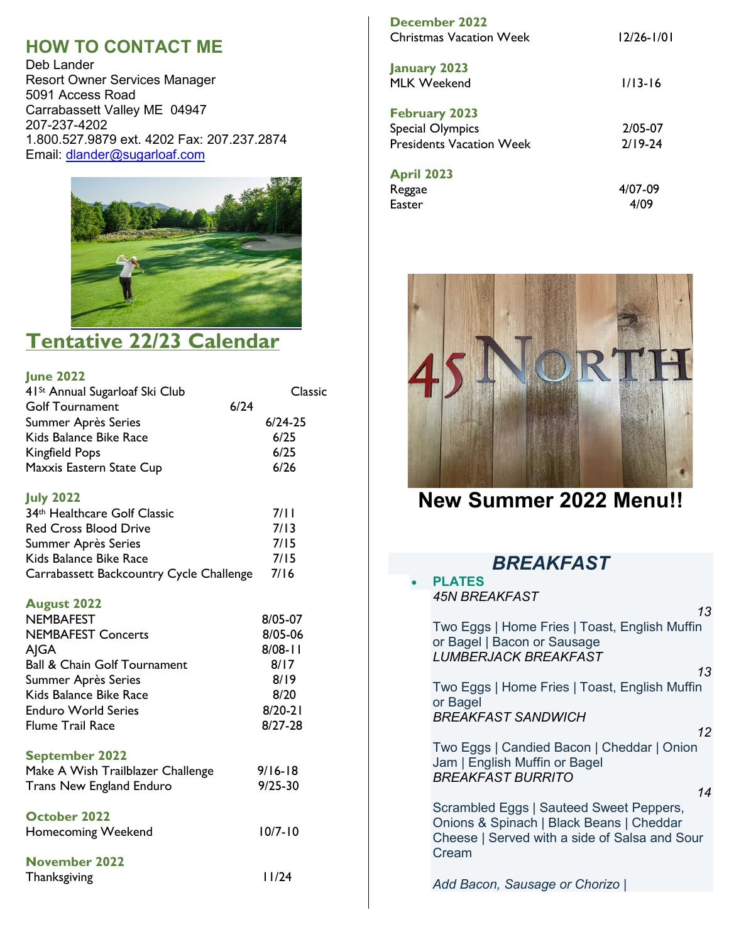# **HOW TO CONTACT ME**

Deb Lander Resort Owner Services Manager 5091 Access Road Carrabassett Valley ME 04947 207-237-4202 1.800.527.9879 ext. 4202 Fax: 207.237.2874 Email: [dlander@sugarloaf.com](mailto:dlander@sugarloaf.com)



# **Tentative 22/23 Calendar**

### **June 2022**

| 41 <sup>St</sup> Annual Sugarloaf Ski Club | <b>Classic</b> |
|--------------------------------------------|----------------|
| <b>Golf Tournament</b>                     | 6/24           |
| Summer Après Series                        | $6/24-25$      |
| Kids Balance Bike Race                     | 6/25           |
| <b>Kingfield Pops</b>                      | 6/25           |
| Maxxis Eastern State Cup                   | $6/26$         |
| <b>July 2022</b>                           |                |
| 34th Healthcare Golf Classic               | 7/11           |
| <b>Red Cross Blood Drive</b>               | 7/13           |
| Summer Après Series                        | 7/15           |
| Kids Balance Bike Race                     | 7/15           |
| Carrabassett Backcountry Cycle Challenge   | 7/16           |
| <b>August 2022</b>                         |                |
| <b>NEMBAFEST</b>                           | 8/05-07        |
| <b>NEMBAFEST Concerts</b>                  | 8/05-06        |
| AJGA                                       | $8/08 - 11$    |
| <b>Ball &amp; Chain Golf Tournament</b>    | 8/17           |
| Summer Après Series                        | 8/19           |
| Kids Balance Bike Race                     | 8/20           |
| <b>Enduro World Series</b>                 | $8/20 - 21$    |
| <b>Flume Trail Race</b>                    | $8/27 - 28$    |
| <b>September 2022</b>                      |                |
| Make A Wish Trailblazer Challenge          | $9/16 - 18$    |
| <b>Trans New England Enduro</b>            | $9/25 - 30$    |
| <b>October 2022</b>                        |                |
| <b>Homecoming Weekend</b>                  | $10/7 - 10$    |
| <b>November 2022</b>                       |                |
| Thanksgiving                               | 11/24          |

| December 2022<br><b>Christmas Vacation Week</b>                                    | $12/26 - 1/01$         |
|------------------------------------------------------------------------------------|------------------------|
| <b>January 2023</b><br>MI K Weekend                                                | $1/13-16$              |
| <b>February 2023</b><br><b>Special Olympics</b><br><b>Presidents Vacation Week</b> | 2/05-07<br>$2/19 - 24$ |
| <b>April 2023</b><br>Reggae<br>Easter                                              | 4/07-09<br>4/09        |



**New Summer 2022 Menu!!** 

| <b>BREAKFAST</b>                                                                                                                              |  |  |  |  |
|-----------------------------------------------------------------------------------------------------------------------------------------------|--|--|--|--|
| <b>PLATES</b>                                                                                                                                 |  |  |  |  |
| <b>45N BREAKFAST</b>                                                                                                                          |  |  |  |  |
| 13<br>Two Eggs   Home Fries   Toast, English Muffin<br>or Bagel   Bacon or Sausage<br><b>LUMBERJACK BREAKFAST</b>                             |  |  |  |  |
| 13                                                                                                                                            |  |  |  |  |
| Two Eggs   Home Fries   Toast, English Muffin<br>or Bagel                                                                                     |  |  |  |  |
| <b>BREAKFAST SANDWICH</b><br>12                                                                                                               |  |  |  |  |
| Two Eggs   Candied Bacon   Cheddar   Onion<br>Jam   English Muffin or Bagel<br><b>BREAKFAST BURRITO</b>                                       |  |  |  |  |
| 14                                                                                                                                            |  |  |  |  |
| Scrambled Eggs   Sauteed Sweet Peppers,<br>Onions & Spinach   Black Beans   Cheddar<br>Cheese   Served with a side of Salsa and Sour<br>Cream |  |  |  |  |
| Add Bacon, Sausage or Chorizo                                                                                                                 |  |  |  |  |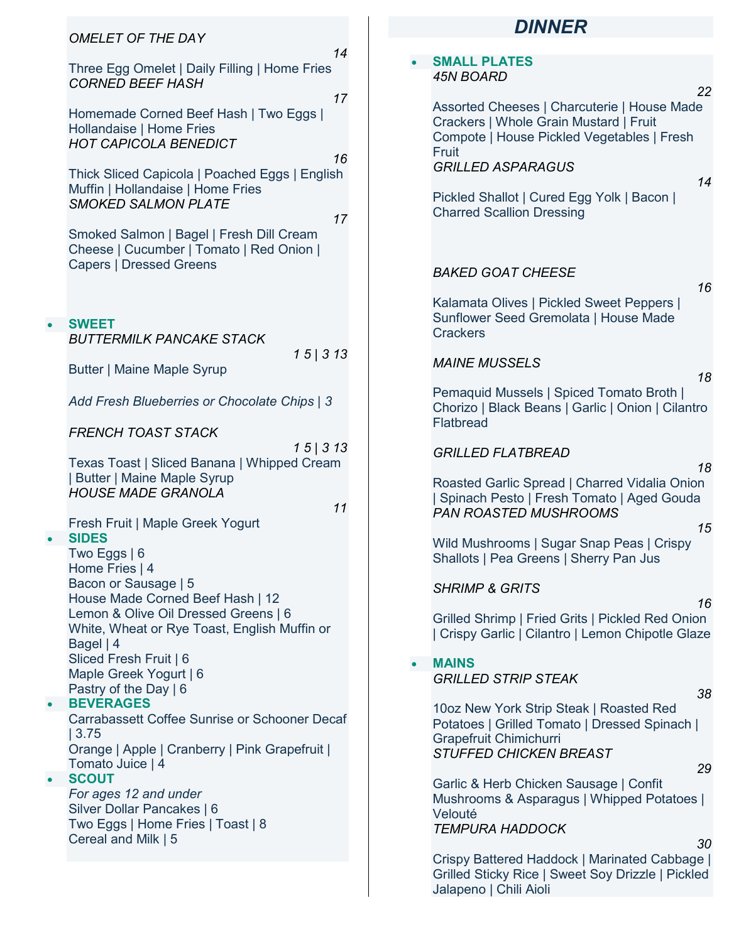| <b>OMELET OF THE DAY</b>                                                                                                                                                                                                                                                                                                                                            |           | <b>DINNER</b>                                                                                                                                                                                                                                                                                      |
|---------------------------------------------------------------------------------------------------------------------------------------------------------------------------------------------------------------------------------------------------------------------------------------------------------------------------------------------------------------------|-----------|----------------------------------------------------------------------------------------------------------------------------------------------------------------------------------------------------------------------------------------------------------------------------------------------------|
| 14<br>Three Egg Omelet   Daily Filling   Home Fries<br><b>CORNED BEEF HASH</b>                                                                                                                                                                                                                                                                                      |           | <b>SMALL PLATES</b><br><b>45N BOARD</b>                                                                                                                                                                                                                                                            |
| 17<br>Homemade Corned Beef Hash   Two Eggs  <br>Hollandaise   Home Fries<br><b>HOT CAPICOLA BENEDICT</b><br>16<br>Thick Sliced Capicola   Poached Eggs   English<br>Muffin   Hollandaise   Home Fries<br><b>SMOKED SALMON PLATE</b><br>17<br>Smoked Salmon   Bagel   Fresh Dill Cream<br>Cheese   Cucumber   Tomato   Red Onion  <br><b>Capers   Dressed Greens</b> |           | 22<br>Assorted Cheeses   Charcuterie   House Made<br>Crackers   Whole Grain Mustard   Fruit<br>Compote   House Pickled Vegetables   Fresh<br>Fruit<br><b>GRILLED ASPARAGUS</b><br>14<br>Pickled Shallot   Cured Egg Yolk   Bacon  <br><b>Charred Scallion Dressing</b><br><b>BAKED GOAT CHEESE</b> |
| <b>SWEET</b>                                                                                                                                                                                                                                                                                                                                                        |           | 16<br>Kalamata Olives   Pickled Sweet Peppers  <br>Sunflower Seed Gremolata   House Made                                                                                                                                                                                                           |
| <b>BUTTERMILK PANCAKE STACK</b><br>15 313<br><b>Butter   Maine Maple Syrup</b>                                                                                                                                                                                                                                                                                      |           | <b>Crackers</b><br><b>MAINE MUSSELS</b><br>18                                                                                                                                                                                                                                                      |
| Add Fresh Blueberries or Chocolate Chips   3                                                                                                                                                                                                                                                                                                                        |           | Pemaquid Mussels   Spiced Tomato Broth  <br>Chorizo   Black Beans   Garlic   Onion   Cilantro<br>Flatbread                                                                                                                                                                                         |
| <b>FRENCH TOAST STACK</b><br>15 313<br>Texas Toast   Sliced Banana   Whipped Cream<br><b>Butter   Maine Maple Syrup</b><br><b>HOUSE MADE GRANOLA</b><br>11                                                                                                                                                                                                          |           | <b>GRILLED FLATBREAD</b><br>18<br>Roasted Garlic Spread   Charred Vidalia Onion<br>Spinach Pesto   Fresh Tomato   Aged Gouda                                                                                                                                                                       |
| Fresh Fruit   Maple Greek Yogurt<br><b>SIDES</b><br>Two Eggs $ 6 $                                                                                                                                                                                                                                                                                                  |           | PAN ROASTED MUSHROOMS<br>15<br>Wild Mushrooms   Sugar Snap Peas   Crispy<br>Shallots   Pea Greens   Sherry Pan Jus                                                                                                                                                                                 |
| Home Fries   4<br>Bacon or Sausage   5<br>House Made Corned Beef Hash   12<br>Lemon & Olive Oil Dressed Greens   6<br>White, Wheat or Rye Toast, English Muffin or<br>Bagel   4<br>Sliced Fresh Fruit   6<br>Maple Greek Yogurt   6<br>Pastry of the Day   6                                                                                                        | $\bullet$ | <b>SHRIMP &amp; GRITS</b><br>16<br>Grilled Shrimp   Fried Grits   Pickled Red Onion<br>Crispy Garlic   Cilantro   Lemon Chipotle Glaze<br><b>MAINS</b><br><b>GRILLED STRIP STEAK</b><br>38                                                                                                         |
| <b>BEVERAGES</b><br><b>Carrabassett Coffee Sunrise or Schooner Decaf</b><br> 3.75 <br>Orange   Apple   Cranberry   Pink Grapefruit  <br>Tomato Juice   4                                                                                                                                                                                                            |           | 10oz New York Strip Steak   Roasted Red<br>Potatoes   Grilled Tomato   Dressed Spinach  <br>Grapefruit Chimichurri<br><b>STUFFED CHICKEN BREAST</b><br>29                                                                                                                                          |
| <b>SCOUT</b><br>For ages 12 and under<br>Silver Dollar Pancakes   6<br>Two Eggs   Home Fries   Toast   8<br>Cereal and Milk   5                                                                                                                                                                                                                                     |           | Garlic & Herb Chicken Sausage   Confit<br>Mushrooms & Asparagus   Whipped Potatoes  <br>Velouté<br><b>TEMPURA HADDOCK</b><br>30                                                                                                                                                                    |
|                                                                                                                                                                                                                                                                                                                                                                     |           | Crispy Battered Haddock   Marinated Cabbage  <br>Grilled Sticky Rice   Sweet Soy Drizzle   Pickled<br>Jalapeno   Chili Aioli                                                                                                                                                                       |